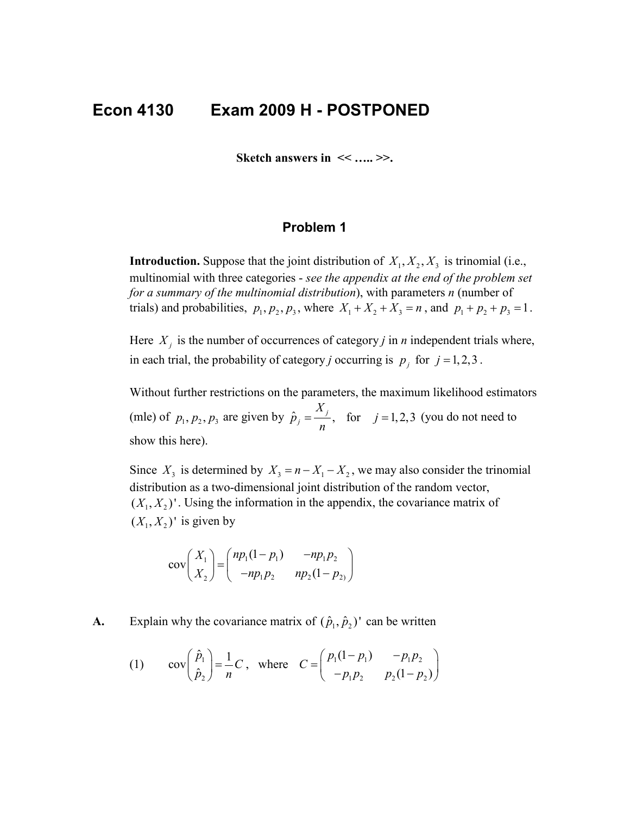# **Econ 4130 Exam 2009 H - POSTPONED**

**Sketch answers in << ….. >>.**

## **Problem 1**

**Introduction.** Suppose that the joint distribution of  $X_1, X_2, X_3$  is trinomial (i.e., multinomial with three categories - *see the appendix at the end of the problem set for a summary of the multinomial distribution*), with parameters *n* (number of trials) and probabilities,  $p_1, p_2, p_3$ , where  $X_1 + X_2 + X_3 = n$ , and  $p_1 + p_2 + p_3 = 1$ .

Here  $X_i$  is the number of occurrences of category *j* in *n* independent trials where, in each trial, the probability of category *j* occurring is  $p_i$  for  $j = 1, 2, 3$ .

Without further restrictions on the parameters, the maximum likelihood estimators (mle) of  $p_1, p_2, p_3$  are given by  $\hat{p}_j = \frac{\Delta}{n_j}$ , for  $j = 1, 2, 3$ *X*  $\hat{p}_j = \frac{n_j}{n}$ , for  $j = 1, 2, 3$  (you do not need to show this here).

Since  $X_3$  is determined by  $X_3 = n - X_1 - X_2$ , we may also consider the trinomial distribution as a two-dimensional joint distribution of the random vector,  $(X_1, X_2)'$ . Using the information in the appendix, the covariance matrix of  $(X_1, X_2)'$  is given by

$$
cov\left(\frac{X_1}{X_2}\right) = \begin{pmatrix} np_1(1-p_1) & -np_1p_2 \\ -np_1p_2 & np_2(1-p_2) \end{pmatrix}
$$

**A.** Explain why the covariance matrix of  $(\hat{p}_1, \hat{p}_2)$  can be written

(1) 
$$
\qquad \text{cov}\left(\begin{array}{c} \hat{p}_1 \\ \hat{p}_2 \end{array}\right) = \frac{1}{n}C, \text{ where } C = \begin{pmatrix} p_1(1-p_1) & -p_1p_2 \\ -p_1p_2 & p_2(1-p_2) \end{pmatrix}
$$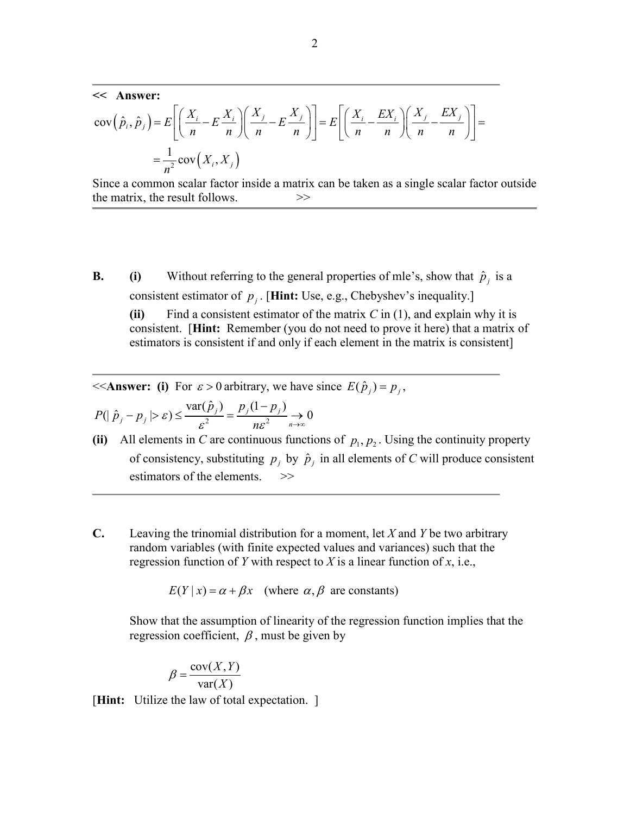**<< Answer:**

$$
cov(\hat{p}_i, \hat{p}_j) = E\left[\left(\frac{X_i}{n} - E\frac{X_i}{n}\right)\left(\frac{X_j}{n} - E\frac{X_j}{n}\right)\right] = E\left[\left(\frac{X_i}{n} - \frac{EX_i}{n}\right)\left(\frac{X_j}{n} - \frac{EX_j}{n}\right)\right] = \frac{1}{n^2}cov(X_i, X_j)
$$

Since a common scalar factor inside a matrix can be taken as a single scalar factor outside the matrix, the result follows.  $>$ 

**B. (i)** Without referring to the general properties of mle's, show that  $\hat{p}_i$  is a consistent estimator of  $p_i$ . [Hint: Use, e.g., Chebyshev's inequality.]

**(ii)** Find a consistent estimator of the matrix  $C$  in (1), and explain why it is consistent. [**Hint:** Remember (you do not need to prove it here) that a matrix of estimators is consistent if and only if each element in the matrix is consistent]

 $<<$  **Answer:** (i) For  $\varepsilon > 0$  arbitrary, we have since  $E(\hat{p}_i) = p_i$ ,

$$
P(|\hat{p}_j - p_j| > \varepsilon) \le \frac{\text{var}(\hat{p}_j)}{\varepsilon^2} = \frac{p_j(1 - p_j)}{n\varepsilon^2} \to 0
$$

- (ii) All elements in *C* are continuous functions of  $p_1, p_2$ . Using the continuity property of consistency, substituting  $p_i$  by  $\hat{p}_i$  in all elements of *C* will produce consistent estimators of the elements.  $\gg$
- **C.** Leaving the trinomial distribution for a moment, let *X* and *Y* be two arbitrary random variables (with finite expected values and variances) such that the regression function of *Y* with respect to *X* is a linear function of *x*, i.e.,

 $E(Y | x) = \alpha + \beta x$  (where  $\alpha, \beta$  are constants)

Show that the assumption of linearity of the regression function implies that the regression coefficient,  $\beta$ , must be given by

$$
\beta = \frac{\text{cov}(X, Y)}{\text{var}(X)}
$$

[**Hint:** Utilize the law of total expectation. ]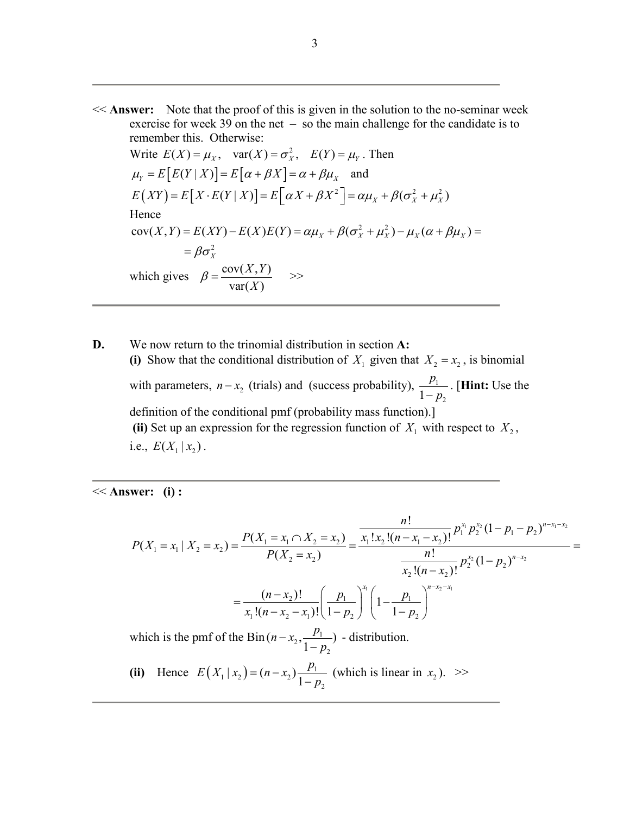<< **Answer:** Note that the proof of this is given in the solution to the no-seminar week exercise for week 39 on the net – so the main challenge for the candidate is to remember this. Otherwise:

Write  $E(X) = \mu_X$ ,  $var(X) = \sigma_X^2$ ,  $E(Y) = \mu_Y$ . Then  $\mu_Y = E[E(Y | X)] = E[\alpha + \beta X] = \alpha + \beta \mu_X$  and  $E(XY) = E[X \cdot E(Y | X)] = E\left[\alpha X + \beta X^2\right] = \alpha \mu_X + \beta(\sigma_X^2 + \mu_X^2)$ Hence  $cov(X, Y) = E(XY) - E(X)E(Y) = \alpha \mu_X + \beta(\sigma_X^2 + \mu_X^2) - \mu_X(\alpha + \beta \mu_X) =$ 2  $=\beta\sigma_{X}^{2}$ which gives  $\beta = \frac{\text{cov}(X, Y)}{g}$  $var(X)$  $\beta = \frac{\text{cov}(X, Y)}{\text{var}(X)}$  >>

**D.** We now return to the trinomial distribution in section **A:** (i) Show that the conditional distribution of  $X_1$  given that  $X_2 = x_2$ , is binomial with parameters,  $n - x_2$  (trials) and (success probability),  $\frac{p_1}{1}$  $1 - p_2$  $\frac{p_1}{-p_2}$ . [**Hint:** Use the definition of the conditional pmf (probability mass function).] (ii) Set up an expression for the regression function of  $X_1$  with respect to  $X_2$ , i.e.,  $E(X_1 | x_2)$ .

<< **Answer: (i) :**

$$
P(X_1 = x_1 | X_2 = x_2) = \frac{P(X_1 = x_1 \cap X_2 = x_2)}{P(X_2 = x_2)} = \frac{\frac{n!}{x_1! x_2! (n - x_1 - x_2)!} p_1^{x_1} p_2^{x_2} (1 - p_1 - p_2)^{n - x_1 - x_2}}{\frac{n!}{x_2! (n - x_2)!} p_2^{x_2} (1 - p_2)^{n - x_2}} = \frac{\frac{(n - x_2)!}{x_1! (n - x_2 - x_1)!} \left(\frac{p_1}{1 - p_2}\right)^{x_1}}{\frac{1}{1 - p_2} \left(1 - \frac{p_1}{1 - p_2}\right)^{n - x_2 - x_1}}
$$

which is the pmf of the Bin  $(n-x_2, \frac{p_1}{1-p_1})$  $(n-x_2, \frac{p_1}{1-p_2})$  - distribution.

(ii) Hence  $E(X_1 | x_2) = (n - x_2) \frac{P_1}{1}$  $E(X_1 | x_2) = (n - x_2) \frac{p_1}{1 - p_2}$  (which is linear in  $x_2$ ). >>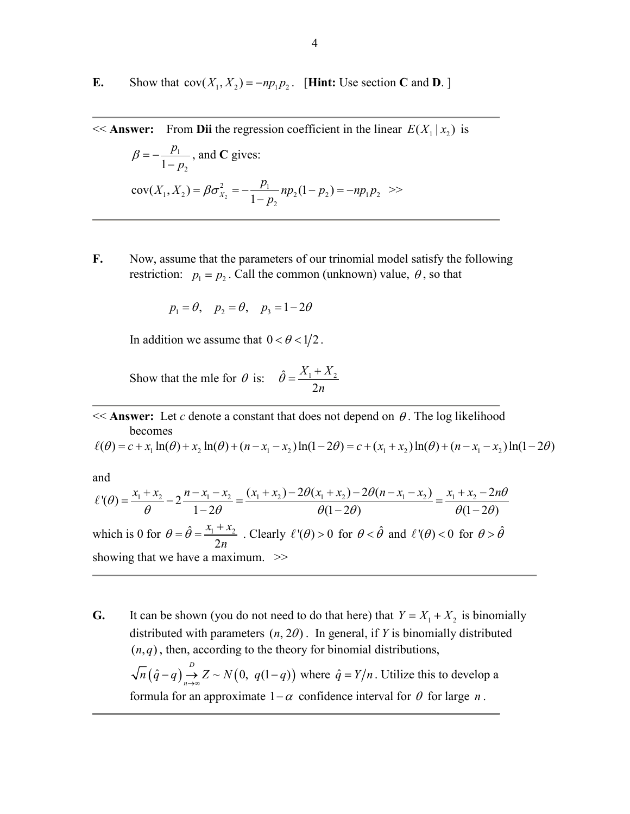**E.** Show that  $cov(X_1, X_2) = -np_1p_2$ . [**Hint:** Use section **C** and **D**.]

 $<<$  **Answer:** From **Dii** the regression coefficient in the linear  $E(X_1 | x_2)$  is

$$
\beta = -\frac{p_1}{1 - p_2}, \text{ and C gives:}
$$
  
\n
$$
cov(X_1, X_2) = \beta \sigma_{X_2}^2 = -\frac{p_1}{1 - p_2} np_2 (1 - p_2) = -np_1 p_2 \gg
$$

**F.** Now, assume that the parameters of our trinomial model satisfy the following restriction:  $p_1 = p_2$ . Call the common (unknown) value,  $\theta$ , so that

$$
p_1 = \theta, \quad p_2 = \theta, \quad p_3 = 1 - 2\theta
$$

In addition we assume that  $0 < \theta < 1/2$ .

Show that the mle for  $\theta$  is:  $\hat{\theta} = \frac{X_1 + X_2}{2}$ 2  $X_1 + X$ *n*  $\hat{\theta} = \frac{X_1 + X_2}{2}$ 

 $\leq$  **Answer:** Let *c* denote a constant that does not depend on  $\theta$ . The log likelihood becomes

 $\ell(\theta) = c + x_1 \ln(\theta) + x_2 \ln(\theta) + (n - x_1 - x_2) \ln(1 - 2\theta) = c + (x_1 + x_2) \ln(\theta) + (n - x_1 - x_2) \ln(1 - 2\theta)$ 

and

$$
\ell'(\theta) = \frac{x_1 + x_2}{\theta} - 2\frac{n - x_1 - x_2}{1 - 2\theta} = \frac{(x_1 + x_2) - 2\theta(x_1 + x_2) - 2\theta(n - x_1 - x_2)}{\theta(1 - 2\theta)} = \frac{x_1 + x_2 - 2n\theta}{\theta(1 - 2\theta)}
$$
  
which is 0 for  $\theta = \hat{\theta} = \frac{x_1 + x_2}{2n}$ . Clearly  $\ell'(\theta) > 0$  for  $\theta < \hat{\theta}$  and  $\ell'(\theta) < 0$  for  $\theta > \hat{\theta}$   
showing that we have a maximum.  $>$ 

**G.** It can be shown (you do not need to do that here) that  $Y = X_1 + X_2$  is binomially distributed with parameters  $(n, 2\theta)$ . In general, if *Y* is binomially distributed  $(n, q)$ , then, according to the theory for binomial distributions,  $(\hat{q}-q) \stackrel{D}{\rightarrow} Z \sim N(0, q(1-q))$  $n(\hat{q}-q) \rightarrow Z \sim N(0, q(1-q))$  where  $\hat{q} = Y/n$ . Utilize this to develop a formula for an approximate  $1-\alpha$  confidence interval for  $\theta$  for large *n*.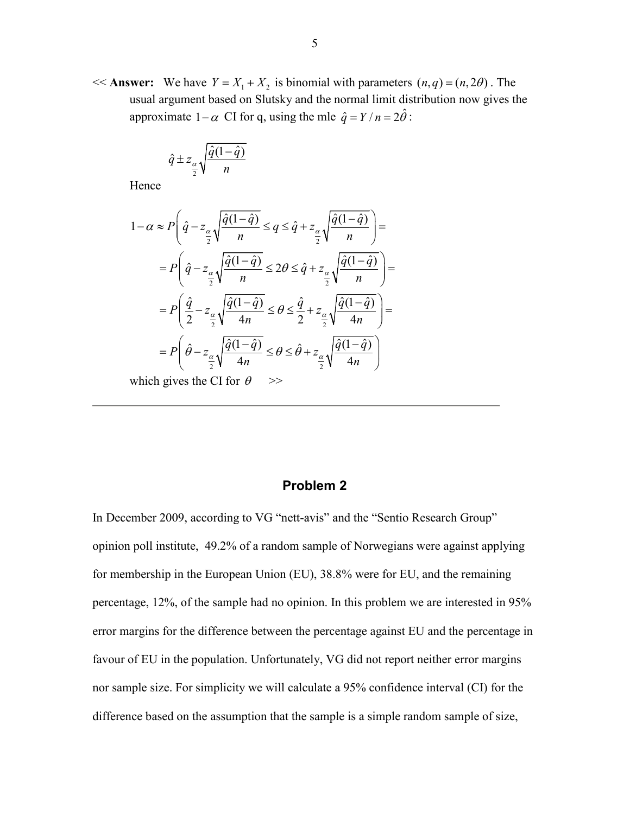$<<$  **Answer:** We have  $Y = X_1 + X_2$  is binomial with parameters  $(n, q) = (n, 2\theta)$ . The usual argument based on Slutsky and the normal limit distribution now gives the approximate  $1-\alpha$  CI for q, using the mle  $\hat{q} = Y/n = 2\hat{\theta}$ :

$$
\hat{q} \pm z_{\alpha} \sqrt{\frac{\hat{q}(1-\hat{q})}{n}}
$$

Hence

$$
1 - \alpha \approx P \left( \hat{q} - z_{\frac{\alpha}{2}} \sqrt{\frac{\hat{q}(1-\hat{q})}{n}} \le q \le \hat{q} + z_{\frac{\alpha}{2}} \sqrt{\frac{\hat{q}(1-\hat{q})}{n}} \right) =
$$
  
\n
$$
= P \left( \hat{q} - z_{\frac{\alpha}{2}} \sqrt{\frac{\hat{q}(1-\hat{q})}{n}} \le 2\theta \le \hat{q} + z_{\frac{\alpha}{2}} \sqrt{\frac{\hat{q}(1-\hat{q})}{n}} \right) =
$$
  
\n
$$
= P \left( \frac{\hat{q}}{2} - z_{\frac{\alpha}{2}} \sqrt{\frac{\hat{q}(1-\hat{q})}{4n}} \le \theta \le \frac{\hat{q}}{2} + z_{\frac{\alpha}{2}} \sqrt{\frac{\hat{q}(1-\hat{q})}{4n}} \right) =
$$
  
\n
$$
= P \left( \hat{\theta} - z_{\frac{\alpha}{2}} \sqrt{\frac{\hat{q}(1-\hat{q})}{4n}} \le \theta \le \hat{\theta} + z_{\frac{\alpha}{2}} \sqrt{\frac{\hat{q}(1-\hat{q})}{4n}} \right)
$$

which gives the CI for  $\theta$  >>

### **Problem 2**

In December 2009, according to VG "nett-avis" and the "Sentio Research Group" opinion poll institute, 49.2% of a random sample of Norwegians were against applying for membership in the European Union (EU), 38.8% were for EU, and the remaining percentage, 12%, of the sample had no opinion. In this problem we are interested in 95% error margins for the difference between the percentage against EU and the percentage in favour of EU in the population. Unfortunately, VG did not report neither error margins nor sample size. For simplicity we will calculate a 95% confidence interval (CI) for the difference based on the assumption that the sample is a simple random sample of size,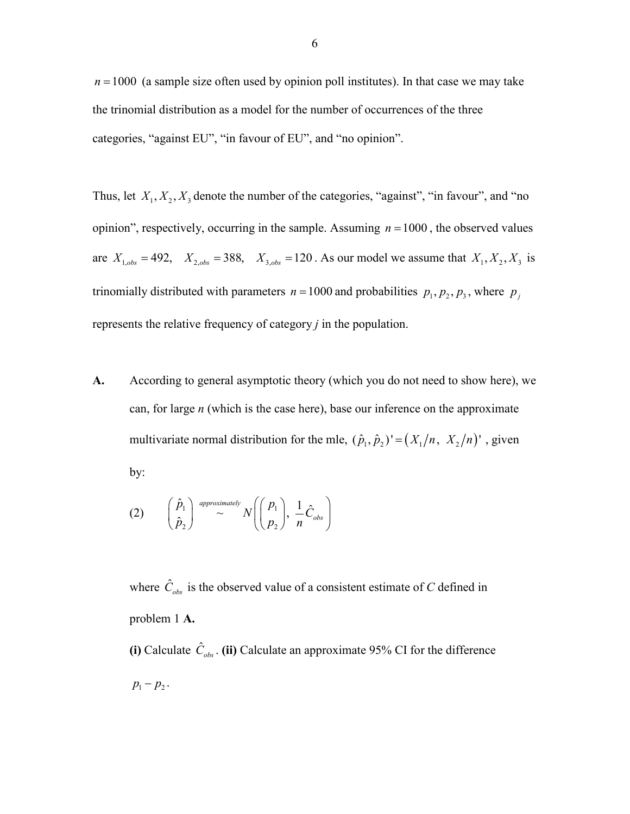$n = 1000$  (a sample size often used by opinion poll institutes). In that case we may take the trinomial distribution as a model for the number of occurrences of the three categories, "against EU", "in favour of EU", and "no opinion".

Thus, let  $X_1, X_2, X_3$  denote the number of the categories, "against", "in favour", and "no opinion", respectively, occurring in the sample. Assuming  $n = 1000$ , the observed values are  $X_{1, obs} = 492$ ,  $X_{2, obs} = 388$ ,  $X_{3, obs} = 120$ . As our model we assume that  $X_1, X_2, X_3$  is trinomially distributed with parameters  $n = 1000$  and probabilities  $p_1, p_2, p_3$ , where  $p_j$ represents the relative frequency of category *j* in the population.

**A.** According to general asymptotic theory (which you do not need to show here), we can, for large *n* (which is the case here), base our inference on the approximate multivariate normal distribution for the mle,  $(\hat{p}_1, \hat{p}_2)' = (X_1/n, X_2/n)'$ , given by:

$$
(2) \qquad \begin{pmatrix} \hat{p}_1 \\ \hat{p}_2 \end{pmatrix} \stackrel{\text{approximately}}{\sim} N \left( \begin{pmatrix} p_1 \\ p_2 \end{pmatrix}, \frac{1}{n} \hat{C}_{obs} \right)
$$

where  $\hat{C}_{obs}$  is the observed value of a consistent estimate of *C* defined in problem 1 **A.**

**(i)** Calculate  $\hat{C}_{obs}$ . **(ii)** Calculate an approximate 95% CI for the difference  $p_1 - p_2$ .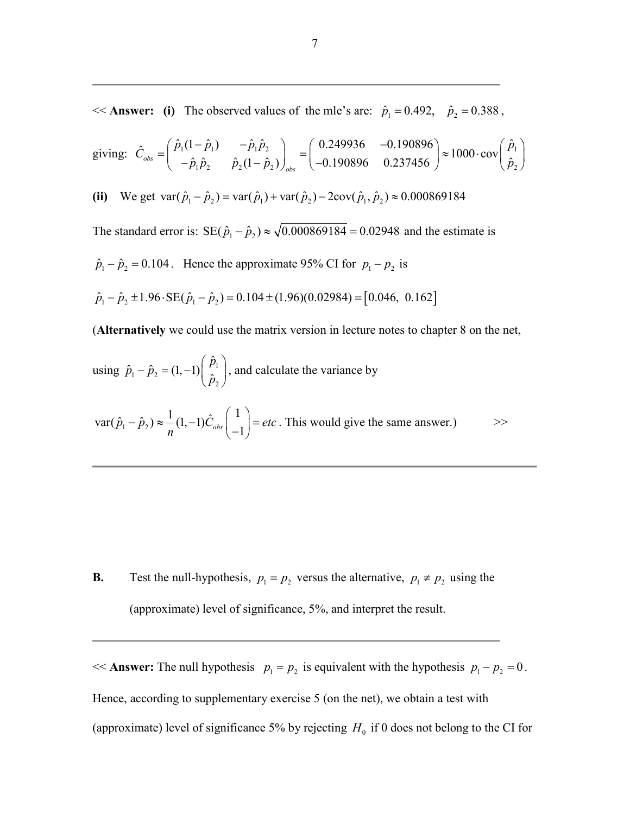$<<$  **Answer:** (i) The observed values of the mle's are:  $\hat{p}_1 = 0.492$ ,  $\hat{p}_2 = 0.388$ ,

giving: 
$$
\hat{C}_{obs} = \begin{pmatrix} \hat{p}_1(1-\hat{p}_1) & -\hat{p}_1\hat{p}_2 \\ -\hat{p}_1\hat{p}_2 & \hat{p}_2(1-\hat{p}_2) \end{pmatrix}_{obs} = \begin{pmatrix} 0.249936 & -0.190896 \\ -0.190896 & 0.237456 \end{pmatrix} \approx 1000 \cdot \text{cov} \begin{pmatrix} \hat{p}_1 \\ \hat{p}_2 \end{pmatrix}
$$

**(ii)** We get  $\text{var}(\hat{p}_1 - \hat{p}_2) = \text{var}(\hat{p}_1) + \text{var}(\hat{p}_2) - 2\text{cov}(\hat{p}_1, \hat{p}_2) \approx 0.000869184$ 

The standard error is:  $SE(\hat{p}_1 - \hat{p}_2) \approx \sqrt{0.000869184} = 0.02948$  and the estimate is

 $\hat{p}_1 - \hat{p}_2 = 0.104$ . Hence the approximate 95% CI for  $p_1 - p_2$  is

$$
\hat{p}_1 - \hat{p}_2 \pm 1.96 \cdot \text{SE}(\hat{p}_1 - \hat{p}_2) = 0.104 \pm (1.96)(0.02984) = [0.046, 0.162]
$$

(**Alternatively** we could use the matrix version in lecture notes to chapter 8 on the net,

using 
$$
\hat{p}_1 - \hat{p}_2 = (1, -1) \begin{pmatrix} \hat{p}_1 \\ \hat{p}_2 \end{pmatrix}
$$
, and calculate the variance by

$$
\text{var}(\hat{p}_1 - \hat{p}_2) \approx \frac{1}{n} (1, -1) \hat{C}_{obs} \begin{pmatrix} 1 \\ -1 \end{pmatrix} = \text{etc.}
$$
 This would give the same answer.) \t>>

**B.** Test the null-hypothesis,  $p_1 = p_2$  versus the alternative,  $p_1 \neq p_2$  using the (approximate) level of significance, 5%, and interpret the result.

 $<<$  **Answer:** The null hypothesis  $p_1 = p_2$  is equivalent with the hypothesis  $p_1 - p_2 = 0$ . Hence, according to supplementary exercise 5 (on the net), we obtain a test with (approximate) level of significance 5% by rejecting  $H_0$  if 0 does not belong to the CI for